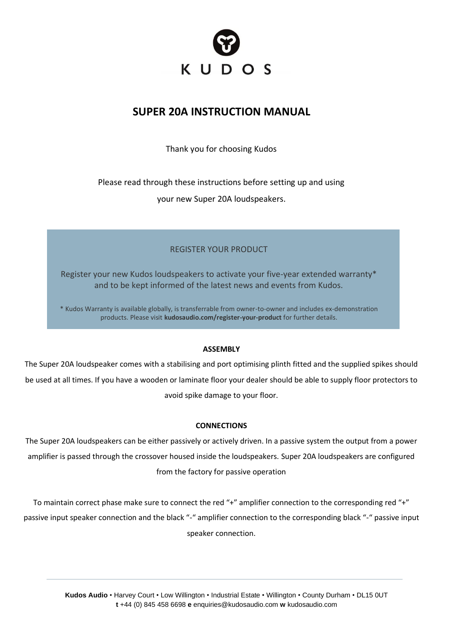

# **SUPER 20A INSTRUCTION MANUAL**

Thank you for choosing Kudos

Please read through these instructions before setting up and using

your new Super 20A loudspeakers.

## REGISTER YOUR PRODUCT

Register your new Kudos loudspeakers to activate your five-year extended warranty\* and to be kept informed of the latest news and events from Kudos.

\* Kudos Warranty is available globally, is transferrable from owner-to-owner and includes ex-demonstration products. Please visit **kudosaudio.com/register-your-product** for further details.

## **ASSEMBLY**

The Super 20A loudspeaker comes with a stabilising and port optimising plinth fitted and the supplied spikes should be used at all times. If you have a wooden or laminate floor your dealer should be able to supply floor protectors to avoid spike damage to your floor.

### **CONNECTIONS**

The Super 20A loudspeakers can be either passively or actively driven. In a passive system the output from a power amplifier is passed through the crossover housed inside the loudspeakers. Super 20A loudspeakers are configured from the factory for passive operation

To maintain correct phase make sure to connect the red "+" amplifier connection to the corresponding red "+" passive input speaker connection and the black "-" amplifier connection to the corresponding black "-" passive input speaker connection.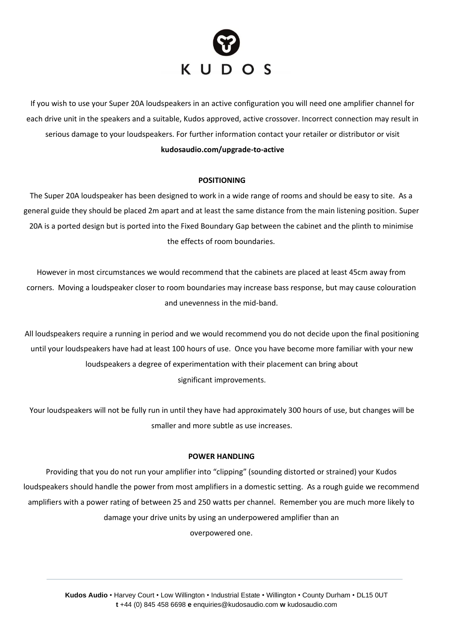

If you wish to use your Super 20A loudspeakers in an active configuration you will need one amplifier channel for each drive unit in the speakers and a suitable, Kudos approved, active crossover. Incorrect connection may result in serious damage to your loudspeakers. For further information contact your retailer or distributor or visit

## **kudosaudio.com/upgrade-to-active**

### **POSITIONING**

The Super 20A loudspeaker has been designed to work in a wide range of rooms and should be easy to site. As a general guide they should be placed 2m apart and at least the same distance from the main listening position. Super 20A is a ported design but is ported into the Fixed Boundary Gap between the cabinet and the plinth to minimise the effects of room boundaries.

However in most circumstances we would recommend that the cabinets are placed at least 45cm away from corners. Moving a loudspeaker closer to room boundaries may increase bass response, but may cause colouration and unevenness in the mid-band.

All loudspeakers require a running in period and we would recommend you do not decide upon the final positioning until your loudspeakers have had at least 100 hours of use. Once you have become more familiar with your new loudspeakers a degree of experimentation with their placement can bring about significant improvements.

Your loudspeakers will not be fully run in until they have had approximately 300 hours of use, but changes will be smaller and more subtle as use increases.

### **POWER HANDLING**

Providing that you do not run your amplifier into "clipping" (sounding distorted or strained) your Kudos loudspeakers should handle the power from most amplifiers in a domestic setting. As a rough guide we recommend amplifiers with a power rating of between 25 and 250 watts per channel. Remember you are much more likely to damage your drive units by using an underpowered amplifier than an overpowered one.